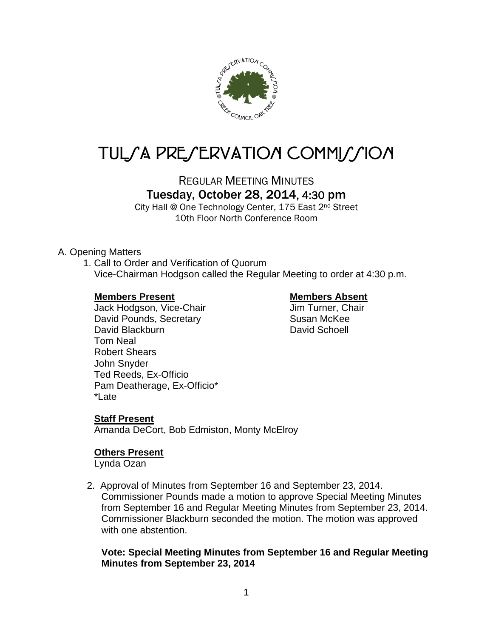

# TUL*SA PRESERVATION COMMISSION*

REGULAR MEETING MINUTES Tuesday, October 28, 2014, 4:30 pm

City Hall @ One Technology Center, 175 East 2nd Street 10th Floor North Conference Room

### A. Opening Matters

1. Call to Order and Verification of Quorum Vice-Chairman Hodgson called the Regular Meeting to order at 4:30 p.m.

### **Members Present Communist Present Absent Absent Absent Absent Absent Absent Absent Absent Absent Absent Absent Absent Absent Absent Absent Absent Absent Absent Absent Absent Absent Absent Absent Absent Absent Absent Absen**

Jack Hodgson, Vice-Chair Jim Turner, Chair David Pounds, Secretary **Susan McKee** David Blackburn **David Schoell** Tom Neal Robert Shears John Snyder Ted Reeds, Ex-Officio Pam Deatherage, Ex-Officio\* \*Late

#### **Staff Present**

Amanda DeCort, Bob Edmiston, Monty McElroy

### **Others Present**

Lynda Ozan

2. Approval of Minutes from September 16 and September 23, 2014. Commissioner Pounds made a motion to approve Special Meeting Minutes from September 16 and Regular Meeting Minutes from September 23, 2014. Commissioner Blackburn seconded the motion. The motion was approved with one abstention.

### **Vote: Special Meeting Minutes from September 16 and Regular Meeting Minutes from September 23, 2014**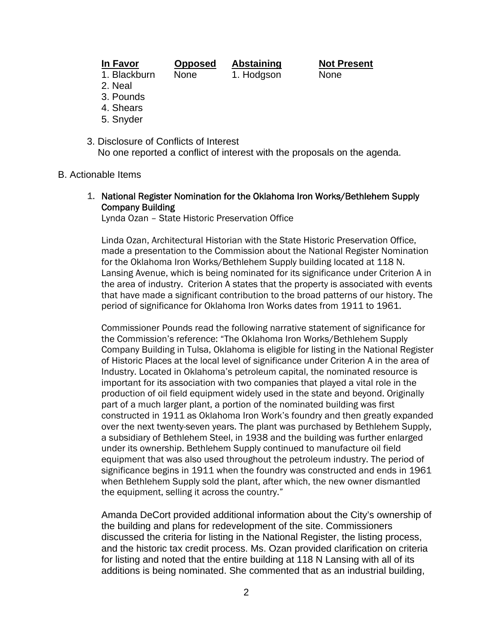| ı | V |  |
|---|---|--|
|   |   |  |

**In Favor Opposed Abstaining Not Present** 1. Blackburn None 1. Hodgson None

- 2. Neal
- 3. Pounds
- 4. Shears
- 5. Snyder
- 3. Disclosure of Conflicts of Interest No one reported a conflict of interest with the proposals on the agenda.

#### B. Actionable Items

1. National Register Nomination for the Oklahoma Iron Works/Bethlehem Supply Company Building

Lynda Ozan – State Historic Preservation Office

Linda Ozan, Architectural Historian with the State Historic Preservation Office, made a presentation to the Commission about the National Register Nomination for the Oklahoma Iron Works/Bethlehem Supply building located at 118 N. Lansing Avenue, which is being nominated for its significance under Criterion A in the area of industry. Criterion A states that the property is associated with events that have made a significant contribution to the broad patterns of our history. The period of significance for Oklahoma Iron Works dates from 1911 to 1961.

Commissioner Pounds read the following narrative statement of significance for the Commission's reference: "The Oklahoma Iron Works/Bethlehem Supply Company Building in Tulsa, Oklahoma is eligible for listing in the National Register of Historic Places at the local level of significance under Criterion A in the area of Industry. Located in Oklahoma's petroleum capital, the nominated resource is important for its association with two companies that played a vital role in the production of oil field equipment widely used in the state and beyond. Originally part of a much larger plant, a portion of the nominated building was first constructed in 1911 as Oklahoma Iron Work's foundry and then greatly expanded over the next twenty-seven years. The plant was purchased by Bethlehem Supply, a subsidiary of Bethlehem Steel, in 1938 and the building was further enlarged under its ownership. Bethlehem Supply continued to manufacture oil field equipment that was also used throughout the petroleum industry. The period of significance begins in 1911 when the foundry was constructed and ends in 1961 when Bethlehem Supply sold the plant, after which, the new owner dismantled the equipment, selling it across the country."

Amanda DeCort provided additional information about the City's ownership of the building and plans for redevelopment of the site. Commissioners discussed the criteria for listing in the National Register, the listing process, and the historic tax credit process. Ms. Ozan provided clarification on criteria for listing and noted that the entire building at 118 N Lansing with all of its additions is being nominated. She commented that as an industrial building,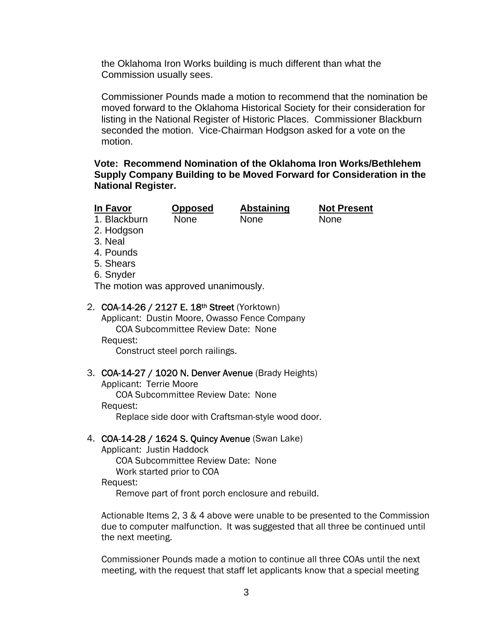the Oklahoma Iron Works building is much different than what the Commission usually sees.

Commissioner Pounds made a motion to recommend that the nomination be moved forward to the Oklahoma Historical Society for their consideration for listing in the National Register of Historic Places. Commissioner Blackburn seconded the motion. Vice-Chairman Hodgson asked for a vote on the motion.

### **Vote: Recommend Nomination of the Oklahoma Iron Works/Bethlehem Supply Company Building to be Moved Forward for Consideration in the National Register.**

**In Favor Opposed Abstaining Not Present** 

1. Blackburn None None None

- 2. Hodgson
- 3. Neal
- 4. Pounds
- 5. Shears
- 6. Snyder

The motion was approved unanimously.

# 2. COA-14-26 / 2127 E. 18th Street (Yorktown)

Applicant: Dustin Moore, Owasso Fence Company COA Subcommittee Review Date: None Request: Construct steel porch railings.

# 3. COA-14-27 / 1020 N. Denver Avenue (Brady Heights)

Applicant: Terrie Moore COA Subcommittee Review Date: None Request: Replace side door with Craftsman-style wood door.

# 4. COA-14-28 / 1624 S. Quincy Avenue (Swan Lake)

Applicant: Justin Haddock COA Subcommittee Review Date: None Work started prior to COA Request: Remove part of front porch enclosure and rebuild.

Actionable Items 2, 3 & 4 above were unable to be presented to the Commission due to computer malfunction. It was suggested that all three be continued until the next meeting.

Commissioner Pounds made a motion to continue all three COAs until the next meeting, with the request that staff let applicants know that a special meeting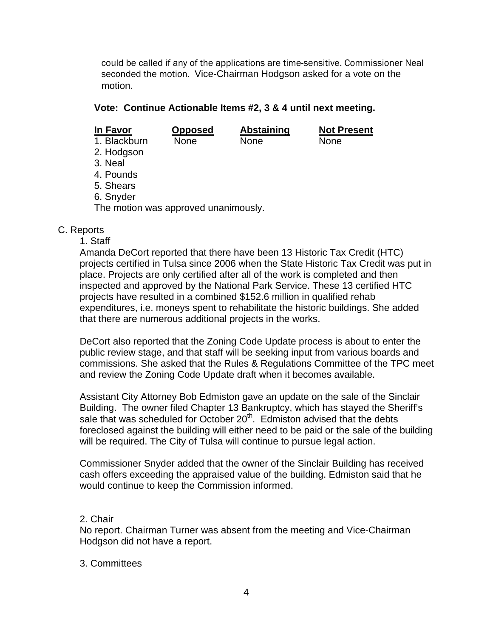could be called if any of the applications are time-sensitive. Commissioner Neal seconded the motion. Vice-Chairman Hodgson asked for a vote on the motion.

# **Vote: Continue Actionable Items #2, 3 & 4 until next meeting.**

| In Favor                             | Opposed     | <b>Abstaining</b> | <b>Not Present</b> |  |  |
|--------------------------------------|-------------|-------------------|--------------------|--|--|
| 1. Blackburn                         | <b>None</b> | None              | <b>None</b>        |  |  |
| 2. Hodgson                           |             |                   |                    |  |  |
| 3. Neal                              |             |                   |                    |  |  |
| 4. Pounds                            |             |                   |                    |  |  |
| 5. Shears                            |             |                   |                    |  |  |
| 6. Snyder                            |             |                   |                    |  |  |
| The motion was approved unanimously. |             |                   |                    |  |  |
|                                      |             |                   |                    |  |  |

## C. Reports

1. Staff

Amanda DeCort reported that there have been 13 Historic Tax Credit (HTC) projects certified in Tulsa since 2006 when the State Historic Tax Credit was put in place. Projects are only certified after all of the work is completed and then inspected and approved by the National Park Service. These 13 certified HTC projects have resulted in a combined \$152.6 million in qualified rehab expenditures, i.e. moneys spent to rehabilitate the historic buildings. She added that there are numerous additional projects in the works.

DeCort also reported that the Zoning Code Update process is about to enter the public review stage, and that staff will be seeking input from various boards and commissions. She asked that the Rules & Regulations Committee of the TPC meet and review the Zoning Code Update draft when it becomes available.

Assistant City Attorney Bob Edmiston gave an update on the sale of the Sinclair Building. The owner filed Chapter 13 Bankruptcy, which has stayed the Sheriff's sale that was scheduled for October  $20<sup>th</sup>$ . Edmiston advised that the debts foreclosed against the building will either need to be paid or the sale of the building will be required. The City of Tulsa will continue to pursue legal action.

Commissioner Snyder added that the owner of the Sinclair Building has received cash offers exceeding the appraised value of the building. Edmiston said that he would continue to keep the Commission informed.

# 2. Chair

No report. Chairman Turner was absent from the meeting and Vice-Chairman Hodgson did not have a report.

### 3. Committees